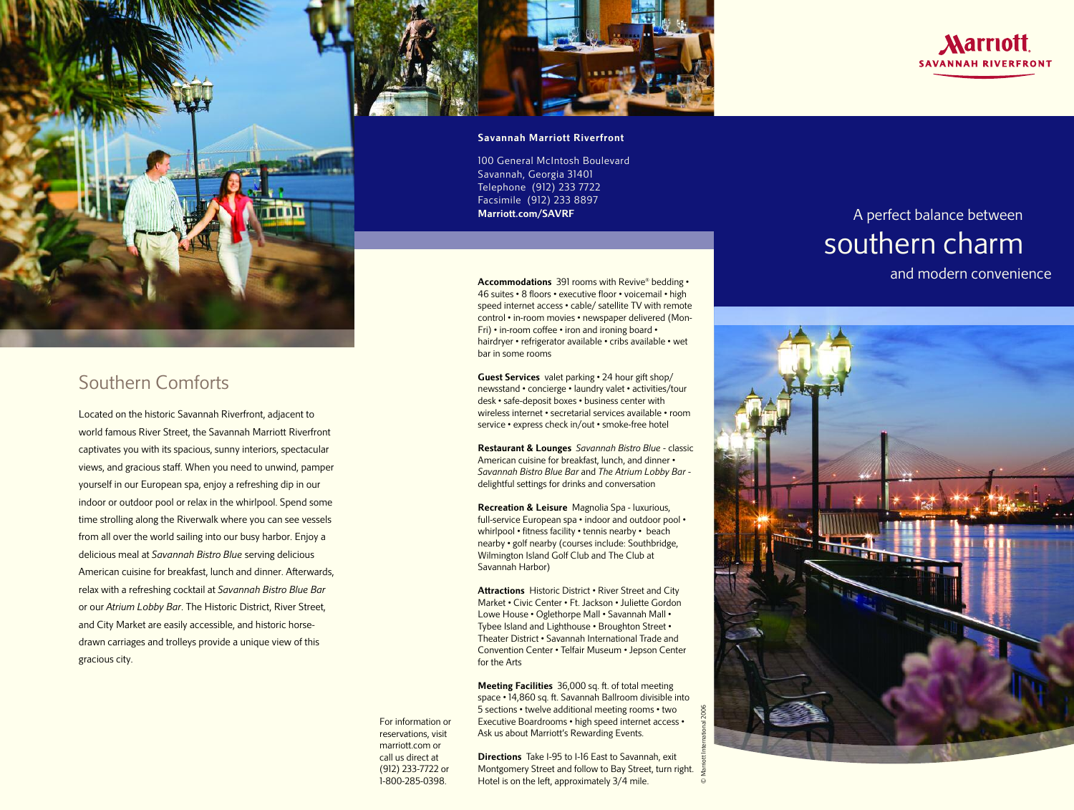

## **Southern Comforts**

**Located on the historic Savannah Riverfront, adjacent to world famous River Street, the Savannah Marriott Riverfront captivates you with its spacious, sunny interiors, spectacular views, and gracious staff. When you need to unwind, pamper yourself in our European spa, enjoy a refreshing dip in our indoor or outdoor pool or relax in the whirlpool. Spend some time strolling along the Riverwalk where you can see vessels from all over the world sailing into our busy harbor. Enjoy a delicious meal at** *Savannah Bistro Blue* **serving delicious American cuisine for breakfast, lunch and dinner. Afterwards, relax with a refreshing cocktail at** *Savannah Bistro Blue Bar* **or our** *Atrium Lobby Bar***. The Historic District, River Street, and City Market are easily accessible, and historic horsedrawn carriages and trolleys provide a unique view of this gracious city.**



**100 General McIntosh Boulevard Savannah, Georgia 31401 Telephone (912) 233 7722 Facsimile (912) 233 8897 Marriott.com/SAVRF**

**Accommodations 391 rooms with Revive® bedding • 46 suites • 8 floors • executive floor • voicemail • high speed internet access • cable/ satellite TV with remote control • in-room movies • newspaper delivered (Mon-Fri) • in-room coffee • iron and ironing board • hairdryer • refrigerator available • cribs available • wet bar in some rooms**

**Guest Services valet parking • 24 hour gift shop/ newsstand • concierge • laundry valet • activities/tour desk • safe-deposit boxes • business center with wireless internet • secretarial services available • room service • express check in/out • smoke-free hotel**

**Restaurant & Lounges** *Savannah Bistro Blue* **- classic American cuisine for breakfast, lunch, and dinner •** *Savannah Bistro Blue Bar* **and** *The Atrium Lobby Bar*  **delightful settings for drinks and conversation**

**Recreation & Leisure Magnolia Spa - luxurious, full-service European spa • indoor and outdoor pool • whirlpool • fitness facility • tennis nearby • beach nearby • golf nearby (courses include: Southbridge, Wilmington Island Golf Club and The Club at Savannah Harbor)**

**Attractions Historic District • River Street and City Market • Civic Center • Ft. Jackson • Juliette Gordon Lowe House • Oglethorpe Mall • Savannah Mall • Tybee Island and Lighthouse • Broughton Street • Theater District • Savannah International Trade and Convention Center • Telfair Museum • Jepson Center for the Arts**

**Meeting Facilities 36,000 sq. ft. of total meeting space • 14,860 sq. ft. Savannah Ballroom divisible into 5 sections • twelve additional meeting rooms • two Executive Boardrooms • high speed internet access • Ask us about Marriott's Rewarding Events.**

**Directions Take I-95 to I-16 East to Savannah, exit Montgomery Street and follow to Bay Street, turn right. Hotel is on the left, approximately 3/4 mile.**

# **A perfect balance between southern charm**

**and modern convenience**

*Aarriott* **SAVANNAH RIVERFRONT** 



**For information or reservations, visit marriott.com or call us direct at (912) 233-7722 or 1-800-285-0398.**